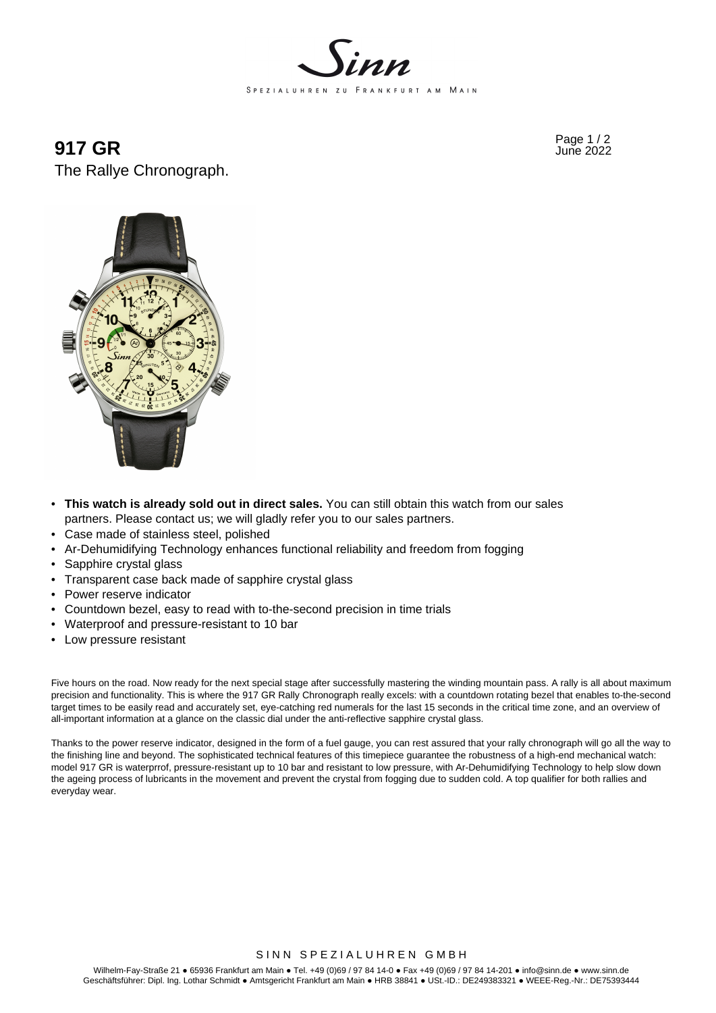

 $917 \text{ GR}$  Page 1/2 The Rallye Chronograph.



- **This watch is already sold out in direct sales.** You can still obtain this watch from our sales partners. Please contact us; we will gladly refer you to our sales partners.
- Case made of stainless steel, polished
- Ar-Dehumidifying Technology enhances functional reliability and freedom from fogging
- Sapphire crystal glass
- Transparent case back made of sapphire crystal glass
- Power reserve indicator
- Countdown bezel, easy to read with to-the-second precision in time trials
- Waterproof and pressure-resistant to 10 bar
- Low pressure resistant

Five hours on the road. Now ready for the next special stage after successfully mastering the winding mountain pass. A rally is all about maximum precision and functionality. This is where the 917 GR Rally Chronograph really excels: with a countdown rotating bezel that enables to-the-second target times to be easily read and accurately set, eye-catching red numerals for the last 15 seconds in the critical time zone, and an overview of all-important information at a glance on the classic dial under the anti-reflective sapphire crystal glass.

Thanks to the power reserve indicator, designed in the form of a fuel gauge, you can rest assured that your rally chronograph will go all the way to the finishing line and beyond. The sophisticated technical features of this timepiece guarantee the robustness of a high-end mechanical watch: model 917 GR is waterprrof, pressure-resistant up to 10 bar and resistant to low pressure, with Ar-Dehumidifying Technology to help slow down the ageing process of lubricants in the movement and prevent the crystal from fogging due to sudden cold. A top qualifier for both rallies and everyday wear.

## SINN SPEZIALUHREN GMBH